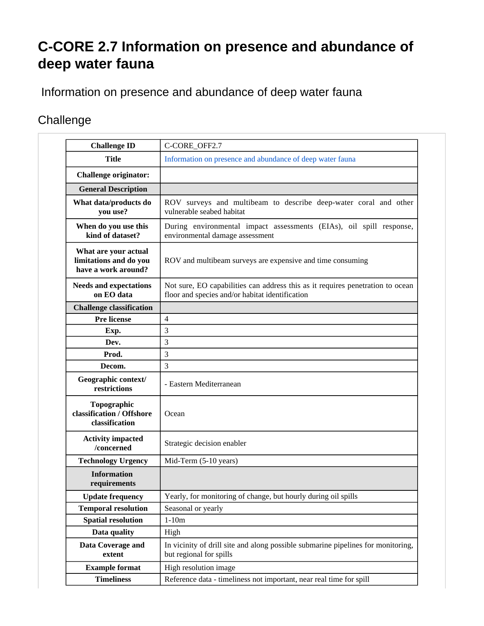## **C-CORE 2.7 Information on presence and abundance of deep water fauna**

Information on presence and abundance of deep water fauna

## **Challenge**

| <b>Challenge ID</b>                                                   | C-CORE_OFF2.7                                                                                                                     |
|-----------------------------------------------------------------------|-----------------------------------------------------------------------------------------------------------------------------------|
| <b>Title</b>                                                          | Information on presence and abundance of deep water fauna                                                                         |
| <b>Challenge originator:</b>                                          |                                                                                                                                   |
| <b>General Description</b>                                            |                                                                                                                                   |
| What data/products do<br>you use?                                     | ROV surveys and multibeam to describe deep-water coral and other<br>vulnerable seabed habitat                                     |
| When do you use this<br>kind of dataset?                              | During environmental impact assessments (EIAs), oil spill response,<br>environmental damage assessment                            |
| What are your actual<br>limitations and do you<br>have a work around? | ROV and multibeam surveys are expensive and time consuming                                                                        |
| <b>Needs and expectations</b><br>on EO data                           | Not sure, EO capabilities can address this as it requires penetration to ocean<br>floor and species and/or habitat identification |
| <b>Challenge classification</b>                                       |                                                                                                                                   |
| <b>Pre license</b>                                                    | $\overline{4}$                                                                                                                    |
| Exp.                                                                  | 3                                                                                                                                 |
| Dev.                                                                  | 3                                                                                                                                 |
| Prod.                                                                 | 3                                                                                                                                 |
| Decom.                                                                | 3                                                                                                                                 |
| Geographic context/<br>restrictions                                   | - Eastern Mediterranean                                                                                                           |
| Topographic<br>classification / Offshore<br>classification            | Ocean                                                                                                                             |
| <b>Activity impacted</b><br>/concerned                                | Strategic decision enabler                                                                                                        |
| <b>Technology Urgency</b>                                             | Mid-Term (5-10 years)                                                                                                             |
| <b>Information</b><br>requirements                                    |                                                                                                                                   |
| <b>Update frequency</b>                                               | Yearly, for monitoring of change, but hourly during oil spills                                                                    |
| <b>Temporal resolution</b>                                            | Seasonal or yearly                                                                                                                |
| <b>Spatial resolution</b>                                             | $1-10m$                                                                                                                           |
| Data quality                                                          | High                                                                                                                              |
| Data Coverage and                                                     | In vicinity of drill site and along possible submarine pipelines for monitoring,                                                  |
| extent                                                                | but regional for spills                                                                                                           |
| <b>Example format</b>                                                 | High resolution image                                                                                                             |